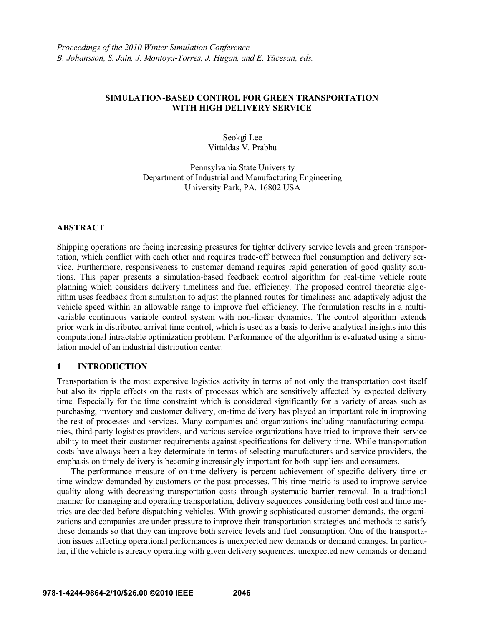# **SIMULATION-BASED CONTROL FOR GREEN TRANSPORTATION WITH HIGH DELIVERY SERVICE**

Seokgi Lee Vittaldas V. Prabhu

Pennsylvania State University Department of Industrial and Manufacturing Engineering University Park, PA. 16802 USA

### **ABSTRACT**

Shipping operations are facing increasing pressures for tighter delivery service levels and green transportation, which conflict with each other and requires trade-off between fuel consumption and delivery service. Furthermore, responsiveness to customer demand requires rapid generation of good quality solutions. This paper presents a simulation-based feedback control algorithm for real-time vehicle route planning which considers delivery timeliness and fuel efficiency. The proposed control theoretic algorithm uses feedback from simulation to adjust the planned routes for timeliness and adaptively adjust the vehicle speed within an allowable range to improve fuel efficiency. The formulation results in a multivariable continuous variable control system with non-linear dynamics. The control algorithm extends prior work in distributed arrival time control, which is used as a basis to derive analytical insights into this computational intractable optimization problem. Performance of the algorithm is evaluated using a simulation model of an industrial distribution center.

### **1 INTRODUCTION**

Transportation is the most expensive logistics activity in terms of not only the transportation cost itself but also its ripple effects on the rests of processes which are sensitively affected by expected delivery time. Especially for the time constraint which is considered significantly for a variety of areas such as purchasing, inventory and customer delivery, on-time delivery has played an important role in improving the rest of processes and services. Many companies and organizations including manufacturing companies, third-party logistics providers, and various service organizations have tried to improve their service ability to meet their customer requirements against specifications for delivery time. While transportation costs have always been a key determinate in terms of selecting manufacturers and service providers, the emphasis on timely delivery is becoming increasingly important for both suppliers and consumers.

The performance measure of on-time delivery is percent achievement of specific delivery time or time window demanded by customers or the post processes. This time metric is used to improve service quality along with decreasing transportation costs through systematic barrier removal. In a traditional manner for managing and operating transportation, delivery sequences considering both cost and time metrics are decided before dispatching vehicles. With growing sophisticated customer demands, the organizations and companies are under pressure to improve their transportation strategies and methods to satisfy these demands so that they can improve both service levels and fuel consumption. One of the transportation issues affecting operational performances is unexpected new demands or demand changes. In particular, if the vehicle is already operating with given delivery sequences, unexpected new demands or demand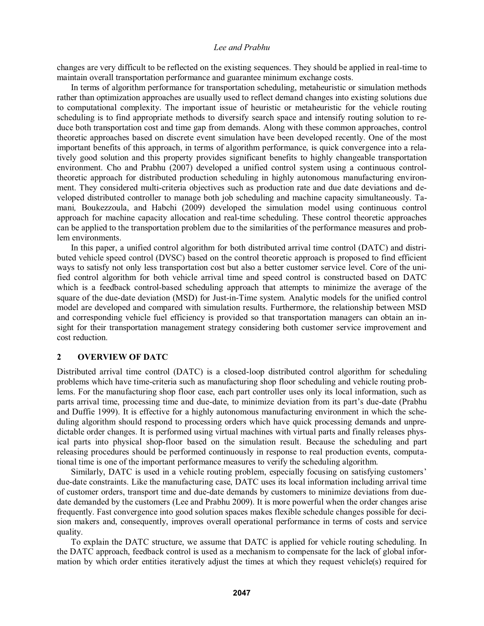changes are very difficult to be reflected on the existing sequences. They should be applied in real-time to maintain overall transportation performance and guarantee minimum exchange costs.

In terms of algorithm performance for transportation scheduling, metaheuristic or simulation methods rather than optimization approaches are usually used to reflect demand changes into existing solutions due to computational complexity. The important issue of heuristic or metaheuristic for the vehicle routing scheduling is to find appropriate methods to diversify search space and intensify routing solution to reduce both transportation cost and time gap from demands. Along with these common approaches, control theoretic approaches based on discrete event simulation have been developed recently. One of the most important benefits of this approach, in terms of algorithm performance, is quick convergence into a relatively good solution and this property provides significant benefits to highly changeable transportation environment. Cho and Prabhu (2007) developed a unified control system using a continuous controltheoretic approach for distributed production scheduling in highly autonomous manufacturing environment. They considered multi-criteria objectives such as production rate and due date deviations and developed distributed controller to manage both job scheduling and machine capacity simultaneously. Tamani*,* Boukezzoula, and Habchi (2009) developed the simulation model using continuous control approach for machine capacity allocation and real-time scheduling. These control theoretic approaches can be applied to the transportation problem due to the similarities of the performance measures and problem environments.

In this paper, a unified control algorithm for both distributed arrival time control (DATC) and distributed vehicle speed control (DVSC) based on the control theoretic approach is proposed to find efficient ways to satisfy not only less transportation cost but also a better customer service level. Core of the unified control algorithm for both vehicle arrival time and speed control is constructed based on DATC which is a feedback control-based scheduling approach that attempts to minimize the average of the square of the due-date deviation (MSD) for Just-in-Time system. Analytic models for the unified control model are developed and compared with simulation results. Furthermore, the relationship between MSD and corresponding vehicle fuel efficiency is provided so that transportation managers can obtain an insight for their transportation management strategy considering both customer service improvement and cost reduction.

### **2 OVERVIEW OF DATC**

Distributed arrival time control (DATC) is a closed-loop distributed control algorithm for scheduling problems which have time-criteria such as manufacturing shop floor scheduling and vehicle routing problems. For the manufacturing shop floor case, each part controller uses only its local information, such as parts arrival time, processing time and due-date, to minimize deviation from its part's due-date (Prabhu and Duffie 1999). It is effective for a highly autonomous manufacturing environment in which the scheduling algorithm should respond to processing orders which have quick processing demands and unpredictable order changes. It is performed using virtual machines with virtual parts and finally releases physical parts into physical shop-floor based on the simulation result. Because the scheduling and part releasing procedures should be performed continuously in response to real production events, computational time is one of the important performance measures to verify the scheduling algorithm.

Similarly, DATC is used in a vehicle routing problem, especially focusing on satisfying customers' due-date constraints. Like the manufacturing case, DATC uses its local information including arrival time of customer orders, transport time and due-date demands by customers to minimize deviations from duedate demanded by the customers (Lee and Prabhu 2009). It is more powerful when the order changes arise frequently. Fast convergence into good solution spaces makes flexible schedule changes possible for decision makers and, consequently, improves overall operational performance in terms of costs and service quality.

To explain the DATC structure, we assume that DATC is applied for vehicle routing scheduling. In the DATC approach, feedback control is used as a mechanism to compensate for the lack of global information by which order entities iteratively adjust the times at which they request vehicle(s) required for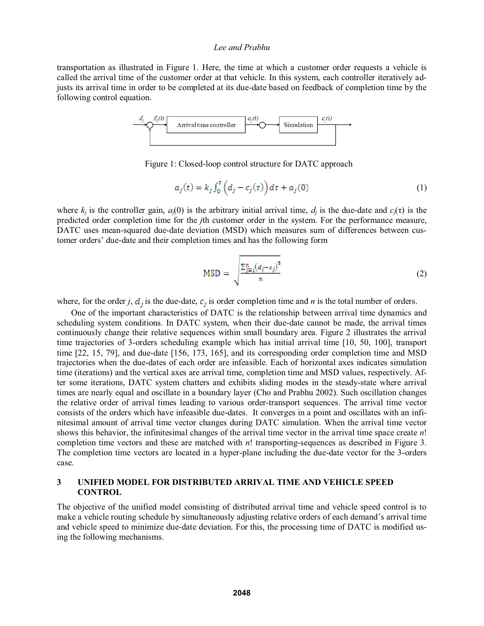transportation as illustrated in Figure 1. Here, the time at which a customer order requests a vehicle is called the arrival time of the customer order at that vehicle. In this system, each controller iteratively adjusts its arrival time in order to be completed at its due-date based on feedback of completion time by the following control equation.



Figure 1: Closed-loop control structure for DATC approach

$$
a_j(t) = k_j \int_0^t \left( d_j - c_j(\tau) \right) d\tau + a_j(0) \tag{1}
$$

where  $k_j$  is the controller gain,  $a_j(0)$  is the arbitrary initial arrival time,  $d_j$  is the due-date and  $c_j(\tau)$  is the predicted order completion time for the *j*th customer order in the system. For the performance measure, DATC uses mean-squared due-date deviation (MSD) which measures sum of differences between customer orders' due-date and their completion times and has the following form

$$
MSD = \sqrt{\frac{\sum_{j=1}^{n} (d_j - c_j)^2}{n}}
$$
 (2)

where, for the order *j*,  $d_j$  is the due-date,  $c_j$  is order completion time and *n* is the total number of orders.

One of the important characteristics of DATC is the relationship between arrival time dynamics and scheduling system conditions. In DATC system, when their due-date cannot be made, the arrival times continuously change their relative sequences within small boundary area. Figure 2 illustrates the arrival time trajectories of 3-orders scheduling example which has initial arrival time [10, 50, 100], transport time [22, 15, 79], and due-date [156, 173, 165], and its corresponding order completion time and MSD trajectories when the due-dates of each order are infeasible. Each of horizontal axes indicates simulation time (iterations) and the vertical axes are arrival time, completion time and MSD values, respectively. After some iterations, DATC system chatters and exhibits sliding modes in the steady-state where arrival times are nearly equal and oscillate in a boundary layer (Cho and Prabhu 2002). Such oscillation changes the relative order of arrival times leading to various order-transport sequences. The arrival time vector consists of the orders which have infeasible due-dates. It converges in a point and oscillates with an infinitesimal amount of arrival time vector changes during DATC simulation. When the arrival time vector shows this behavior, the infinitesimal changes of the arrival time vector in the arrival time space create *n*! completion time vectors and these are matched with *n*! transporting-sequences as described in Figure 3. The completion time vectors are located in a hyper-plane including the due-date vector for the 3-orders case.

## **3 UNIFIED MODEL FOR DISTRIBUTED ARRIVAL TIME AND VEHICLE SPEED CONTROL**

The objective of the unified model consisting of distributed arrival time and vehicle speed control is to make a vehicle routing schedule by simultaneously adjusting relative orders of each demand's arrival time and vehicle speed to minimize due-date deviation. For this, the processing time of DATC is modified using the following mechanisms.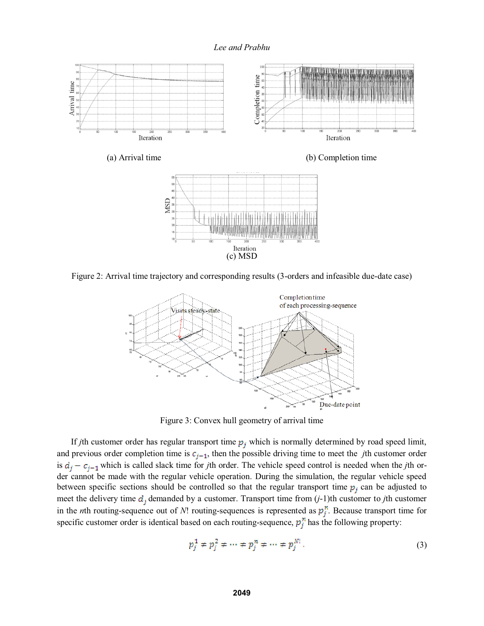

Figure 2: Arrival time trajectory and corresponding results (3-orders and infeasible due-date case)



Figure 3: Convex hull geometry of arrival time

If *j*th customer order has regular transport time  $p_j$  which is normally determined by road speed limit, and previous order completion time is  $c_{j-1}$ , then the possible driving time to meet the *j*th customer order is  $d_i - c_{i-1}$  which is called slack time for *j*th order. The vehicle speed control is needed when the *j*th order cannot be made with the regular vehicle operation. During the simulation, the regular vehicle speed between specific sections should be controlled so that the regular transport time  $p_j$  can be adjusted to meet the delivery time  $d_j$  demanded by a customer. Transport time from  $(j-1)$ th customer to *j*th customer in the *n*th routing-sequence out of *N*! routing-sequences is represented as  $p_j^n$ . Because transport time for specific customer order is identical based on each routing-sequence,  $p_j^n$  has the following property:

$$
p_j^1 \neq p_j^2 \neq \dots \neq p_j^n \neq \dots \neq p_j^N. \tag{3}
$$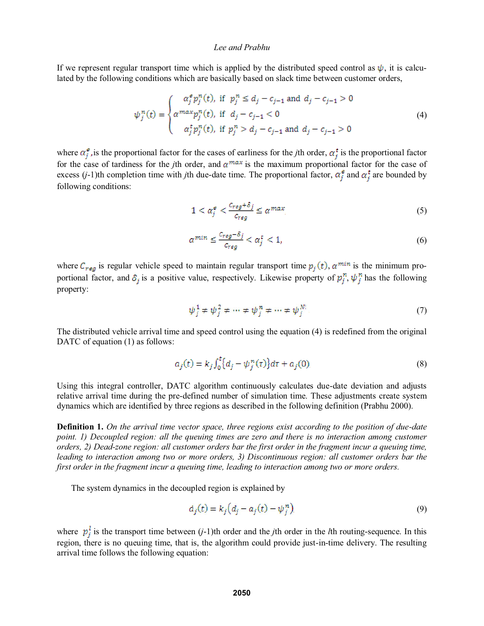If we represent regular transport time which is applied by the distributed speed control as  $\psi$ , it is calculated by the following conditions which are basically based on slack time between customer orders,

$$
\psi_j^n(t) = \begin{cases}\n\alpha_j^s p_j^n(t), & \text{if } p_j^n \le d_j - c_{j-1} \text{ and } d_j - c_{j-1} > 0 \\
\alpha^{max} p_j^n(t), & \text{if } d_j - c_{j-1} < 0 \\
\alpha_j^t p_j^n(t), & \text{if } p_j^n > d_j - c_{j-1} \text{ and } d_j - c_{j-1} > 0\n\end{cases} \tag{4}
$$

where  $\alpha_j^e$ , is the proportional factor for the cases of earliness for the *j*th order,  $\alpha_j^t$  is the proportional factor for the case of tardiness for the *j*th order, and  $\alpha^{max}$  is the maximum proportional factor for the case of excess (*j*-1)th completion time with *j*th due-date time. The proportional factor,  $\alpha_i^e$  and  $\alpha_i^t$  are bounded by following conditions:

$$
1 < \alpha_j^e < \frac{c_{reg} + \delta_j}{c_{reg}} \le \alpha^{max},\tag{5}
$$

$$
\alpha^{min} \le \frac{c_{reg} - \delta_j}{c_{reg}} < \alpha_j^t < 1,\tag{6}
$$

where  $C_{reg}$  is regular vehicle speed to maintain regular transport time  $p_j(t)$ ,  $\alpha^{min}$  is the minimum proportional factor, and  $\delta_j$  is a positive value, respectively. Likewise property of  $p_j^n$ ,  $\psi_j^n$  has the following property:

$$
\psi_j^1 \neq \psi_j^2 \neq \dots \neq \psi_j^n \neq \dots \neq \psi_j^N. \tag{7}
$$

The distributed vehicle arrival time and speed control using the equation (4) is redefined from the original DATC of equation (1) as follows:

$$
a_j(t) = k_j \int_0^t \{d_j - \psi_j^n(\tau)\} d\tau + a_j(0),
$$
\n(8)

Using this integral controller, DATC algorithm continuously calculates due-date deviation and adjusts relative arrival time during the pre-defined number of simulation time. These adjustments create system dynamics which are identified by three regions as described in the following definition (Prabhu 2000).

**Definition 1.** *On the arrival time vector space, three regions exist according to the position of due-date point. 1) Decoupled region: all the queuing times are zero and there is no interaction among customer orders, 2) Dead-zone region: all customer orders bar the first order in the fragment incur a queuing time, leading to interaction among two or more orders, 3) Discontinuous region: all customer orders bar the first order in the fragment incur a queuing time, leading to interaction among two or more orders.* 

The system dynamics in the decoupled region is explained by

$$
\dot{a}_j(t) = k_j \left( d_j - a_j(t) - \psi_j^n \right) \tag{9}
$$

where  $p_j^l$  is the transport time between (*j*-1)th order and the *j*th order in the *l*th routing-sequence. In this region, there is no queuing time, that is, the algorithm could provide just-in-time delivery. The resulting arrival time follows the following equation: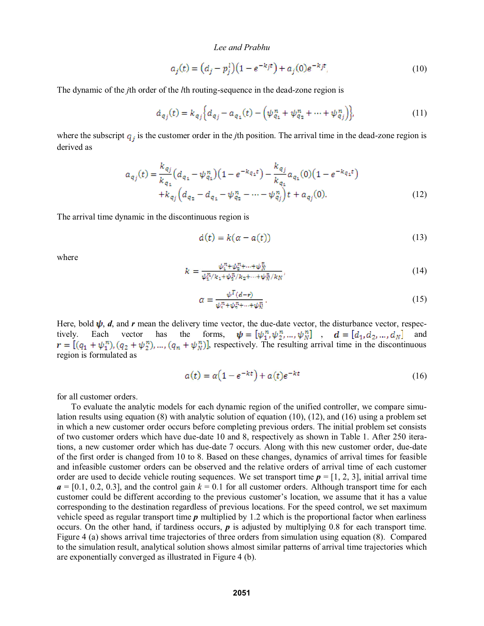$$
a_j(t) = (d_j - p_j^l)(1 - e^{-k_j t}) + a_j(0)e^{-k_j t},
$$
\n(10)

The dynamic of the *j*th order of the *l*th routing-sequence in the dead-zone region is

$$
\dot{a}_{q_j}(t) = k_{q_j} \Big\{ d_{q_j} - a_{q_1}(t) - \Big( \psi_{q_1}^n + \psi_{q_2}^n + \dots + \psi_{q_j}^n \Big) \Big\},\tag{11}
$$

where the subscript  $q_i$  is the customer order in the *j*th position. The arrival time in the dead-zone region is derived as

$$
a_{q_j}(t) = \frac{k_{q_j}}{k_{q_1}} \left( d_{q_1} - \psi_{q_1}^n \right) \left( 1 - e^{-k_{q_1}t} \right) - \frac{k_{q_j}}{k_{q_1}} a_{q_1}(0) \left( 1 - e^{-k_{q_1}t} \right) + k_{q_j} \left( d_{q_2} - d_{q_1} - \psi_{q_2}^n - \dots - \psi_{q_j}^n \right) t + a_{q_j}(0).
$$
\n(12)

The arrival time dynamic in the discontinuous region is

$$
\dot{a}(t) = k(\alpha - a(t))\tag{13}
$$

where

$$
k = \frac{\psi_1^n + \psi_2^n + \dots + \psi_N^n}{\psi_1^n / k_1 + \psi_2^n / k_2 + \dots + \psi_N^n / k_N},
$$
\n(14)

$$
\alpha = \frac{\psi^{T}(d-r)}{\psi_{1}^{n} + \psi_{2}^{n} + \dots + \psi_{N}^{n}}.
$$
\n(15)

Here, bold  $\psi$ , *d*, and *r* mean the delivery time vector, the due-date vector, the disturbance vector, respectively. Each vector has the forms,  $\boldsymbol{\psi} = [\psi_1^n, \psi_2^n, ..., \psi_N^n]$ ,  $\boldsymbol{d} = [d_1, d_2, ..., d_N]$  and , respectively. The resulting arrival time in the discontinuous region is formulated as

$$
a(t) = \alpha \left(1 - e^{-kt}\right) + a(t)e^{-kt} \tag{16}
$$

for all customer orders.

 To evaluate the analytic models for each dynamic region of the unified controller, we compare simulation results using equation (8) with analytic solution of equation (10), (12), and (16) using a problem set in which a new customer order occurs before completing previous orders. The initial problem set consists of two customer orders which have due-date 10 and 8, respectively as shown in Table 1. After 250 iterations, a new customer order which has due-date 7 occurs. Along with this new customer order, due-date of the first order is changed from 10 to 8. Based on these changes, dynamics of arrival times for feasible and infeasible customer orders can be observed and the relative orders of arrival time of each customer order are used to decide vehicle routing sequences. We set transport time  $p = [1, 2, 3]$ , initial arrival time  $a = [0.1, 0.2, 0.3]$ , and the control gain  $k = 0.1$  for all customer orders. Although transport time for each customer could be different according to the previous customer's location, we assume that it has a value corresponding to the destination regardless of previous locations. For the speed control, we set maximum vehicle speed as regular transport time *p* multiplied by 1.2 which is the proportional factor when earliness occurs. On the other hand, if tardiness occurs,  $p$  is adjusted by multiplying 0.8 for each transport time. Figure 4 (a) shows arrival time trajectories of three orders from simulation using equation (8). Compared to the simulation result, analytical solution shows almost similar patterns of arrival time trajectories which are exponentially converged as illustrated in Figure 4 (b).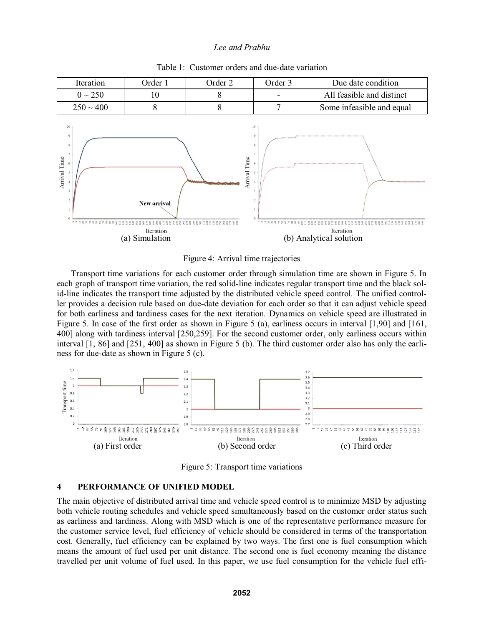

### Table 1: Customer orders and due-date variation



Transport time variations for each customer order through simulation time are shown in Figure 5. In each graph of transport time variation, the red solid-line indicates regular transport time and the black solid-line indicates the transport time adjusted by the distributed vehicle speed control. The unified controller provides a decision rule based on due-date deviation for each order so that it can adjust vehicle speed for both earliness and tardiness cases for the next iteration. Dynamics on vehicle speed are illustrated in Figure 5. In case of the first order as shown in Figure 5 (a), earliness occurs in interval [1,90] and [161, 400] along with tardiness interval [250,259]. For the second customer order, only earliness occurs within interval [1, 86] and [251, 400] as shown in Figure 5 (b). The third customer order also has only the earliness for due-date as shown in Figure 5 (c).



Figure 5: Transport time variations

### **4 PERFORMANCE OF UNIFIED MODEL**

The main objective of distributed arrival time and vehicle speed control is to minimize MSD by adjusting both vehicle routing schedules and vehicle speed simultaneously based on the customer order status such as earliness and tardiness. Along with MSD which is one of the representative performance measure for the customer service level, fuel efficiency of vehicle should be considered in terms of the transportation cost. Generally, fuel efficiency can be explained by two ways. The first one is fuel consumption which means the amount of fuel used per unit distance. The second one is fuel economy meaning the distance travelled per unit volume of fuel used. In this paper, we use fuel consumption for the vehicle fuel effi-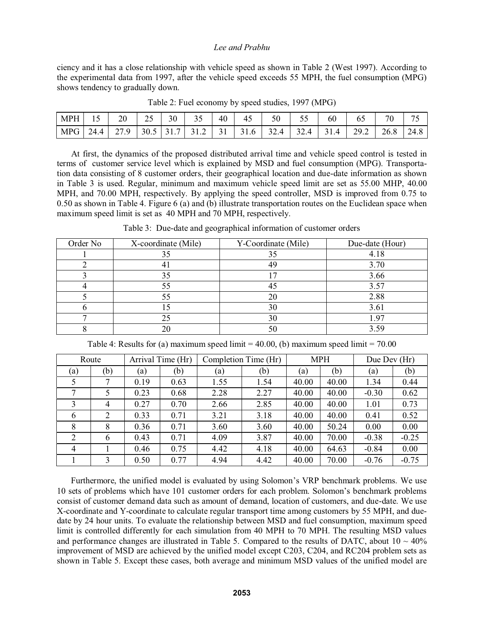ciency and it has a close relationship with vehicle speed as shown in Table 2 (West 1997). According to the experimental data from 1997, after the vehicle speed exceeds 55 MPH, the fuel consumption (MPG) shows tendency to gradually down.

| <b>MPH</b> | -    | 20            | $\mathcal{L}$<br>ں ک | 30  | $\sim$ $\sim$<br>◡ | 40             | 45                    | 50                           | - -<br>--<br>ັັ  | 60            | 62                             | $\overline{f}$<br>ึ∪ | $\overline{\phantom{a}}$<br>$\overline{\phantom{a}}$ |
|------------|------|---------------|----------------------|-----|--------------------|----------------|-----------------------|------------------------------|------------------|---------------|--------------------------------|----------------------|------------------------------------------------------|
| MPG        | 24.4 | Q<br>، ے<br>. | 30.5                 | ١1. | ے ، ر              | $\sim$ 1<br>ັ້ | $\sim$ $\sim$<br>31.0 | $\gamma \gamma$<br>Δ<br>32.4 | 32.4<br>$\Delta$ | າ 1<br>4<br>. | 29 <sub>1</sub><br>ے. '<br>ـ ـ | 26.8                 | 24.8                                                 |

Table 2: Fuel economy by speed studies, 1997 (MPG)

 At first, the dynamics of the proposed distributed arrival time and vehicle speed control is tested in terms of customer service level which is explained by MSD and fuel consumption (MPG). Transportation data consisting of 8 customer orders, their geographical location and due-date information as shown in Table 3 is used. Regular, minimum and maximum vehicle speed limit are set as 55.00 MHP, 40.00 MPH, and 70.00 MPH, respectively. By applying the speed controller, MSD is improved from 0.75 to 0.50 as shown in Table 4. Figure 6 (a) and (b) illustrate transportation routes on the Euclidean space when maximum speed limit is set as 40 MPH and 70 MPH, respectively.

Table 3: Due-date and geographical information of customer orders

| Order No | X-coordinate (Mile) | Y-Coordinate (Mile) | Due-date (Hour) |
|----------|---------------------|---------------------|-----------------|
|          | 35                  | 35                  | 4.18            |
|          | 41                  | 49                  | 3.70            |
|          | 35                  |                     | 3.66            |
|          | 55                  | 45                  | 3.57            |
|          | 55                  | 20                  | 2.88            |
|          |                     | 30                  | 3.61            |
|          | 25                  | 30                  | 1.97            |
|          | 20                  | 50                  | 3.59            |

Table 4: Results for (a) maximum speed limit  $= 40.00$ , (b) maximum speed limit  $= 70.00$ 

| Route |     | Arrival Time (Hr) |      | Completion Time (Hr) |      | <b>MPH</b> |       | Due Dev (Hr) |         |
|-------|-----|-------------------|------|----------------------|------|------------|-------|--------------|---------|
| (a)   | (b) | (a)               | (b)  | (a)                  | (b)  | (a)        | (b)   | (a)          | (b)     |
|       | 7   | 0.19              | 0.63 | 1.55                 | 1.54 | 40.00      | 40.00 | 1.34         | 0.44    |
| 7     | 5   | 0.23              | 0.68 | 2.28                 | 2.27 | 40.00      | 40.00 | $-0.30$      | 0.62    |
| 3     | 4   | 0.27              | 0.70 | 2.66                 | 2.85 | 40.00      | 40.00 | 1.01         | 0.73    |
| 6     | 2   | 0.33              | 0.71 | 3.21                 | 3.18 | 40.00      | 40.00 | 0.41         | 0.52    |
| 8     | 8   | 0.36              | 0.71 | 3.60                 | 3.60 | 40.00      | 50.24 | 0.00         | 0.00    |
| 2     | 6   | 0.43              | 0.71 | 4.09                 | 3.87 | 40.00      | 70.00 | $-0.38$      | $-0.25$ |
| 4     |     | 0.46              | 0.75 | 4.42                 | 4.18 | 40.00      | 64.63 | $-0.84$      | 0.00    |
|       | 3   | 0.50              | 0.77 | 4.94                 | 4.42 | 40.00      | 70.00 | $-0.76$      | $-0.75$ |

Furthermore, the unified model is evaluated by using Solomon's VRP benchmark problems. We use 10 sets of problems which have 101 customer orders for each problem. Solomon's benchmark problems consist of customer demand data such as amount of demand, location of customers, and due-date. We use X-coordinate and Y-coordinate to calculate regular transport time among customers by 55 MPH, and duedate by 24 hour units. To evaluate the relationship between MSD and fuel consumption, maximum speed limit is controlled differently for each simulation from 40 MPH to 70 MPH. The resulting MSD values and performance changes are illustrated in Table 5. Compared to the results of DATC, about  $10 \sim 40\%$ improvement of MSD are achieved by the unified model except C203, C204, and RC204 problem sets as shown in Table 5. Except these cases, both average and minimum MSD values of the unified model are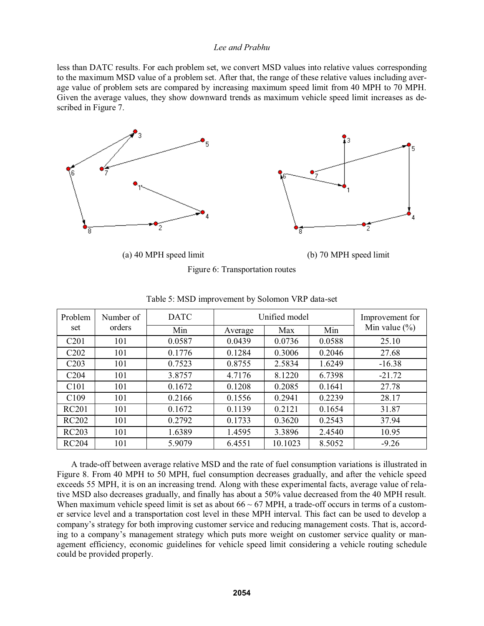less than DATC results. For each problem set, we convert MSD values into relative values corresponding to the maximum MSD value of a problem set. After that, the range of these relative values including average value of problem sets are compared by increasing maximum speed limit from 40 MPH to 70 MPH. Given the average values, they show downward trends as maximum vehicle speed limit increases as described in Figure 7.



(a) 40 MPH speed limit (b) 70 MPH speed limit

| Figure 6: Transportation routes |  |
|---------------------------------|--|
|---------------------------------|--|

| Problem                       | Number of | <b>DATC</b> |         | Unified model | Improvement for |                   |
|-------------------------------|-----------|-------------|---------|---------------|-----------------|-------------------|
| set                           | orders    | Min         | Average | Max           | Min             | Min value $(\% )$ |
| C201                          | 101       | 0.0587      | 0.0439  | 0.0736        | 0.0588          | 25.10             |
| C <sub>2</sub> 0 <sub>2</sub> | 101       | 0.1776      | 0.1284  | 0.3006        | 0.2046          | 27.68             |
| C <sub>203</sub>              | 101       | 0.7523      | 0.8755  | 2.5834        | 1.6249          | $-16.38$          |
| C <sub>204</sub>              | 101       | 3.8757      | 4.7176  | 8.1220        | 6.7398          | $-21.72$          |
| C <sub>101</sub>              | 101       | 0.1672      | 0.1208  | 0.2085        | 0.1641          | 27.78             |
| C <sub>109</sub>              | 101       | 0.2166      | 0.1556  | 0.2941        | 0.2239          | 28.17             |
| <b>RC201</b>                  | 101       | 0.1672      | 0.1139  | 0.2121        | 0.1654          | 31.87             |
| <b>RC202</b>                  | 101       | 0.2792      | 0.1733  | 0.3620        | 0.2543          | 37.94             |
| <b>RC203</b>                  | 101       | 1.6389      | 1.4595  | 3.3896        | 2.4540          | 10.95             |
| <b>RC204</b>                  | 101       | 5.9079      | 6.4551  | 10.1023       | 8.5052          | $-9.26$           |

Table 5: MSD improvement by Solomon VRP data-set

 A trade-off between average relative MSD and the rate of fuel consumption variations is illustrated in Figure 8. From 40 MPH to 50 MPH, fuel consumption decreases gradually, and after the vehicle speed exceeds 55 MPH, it is on an increasing trend. Along with these experimental facts, average value of relative MSD also decreases gradually, and finally has about a 50% value decreased from the 40 MPH result. When maximum vehicle speed limit is set as about  $66 \sim 67$  MPH, a trade-off occurs in terms of a customer service level and a transportation cost level in these MPH interval. This fact can be used to develop a companys strategy for both improving customer service and reducing management costs. That is, according to a company's management strategy which puts more weight on customer service quality or management efficiency, economic guidelines for vehicle speed limit considering a vehicle routing schedule could be provided properly.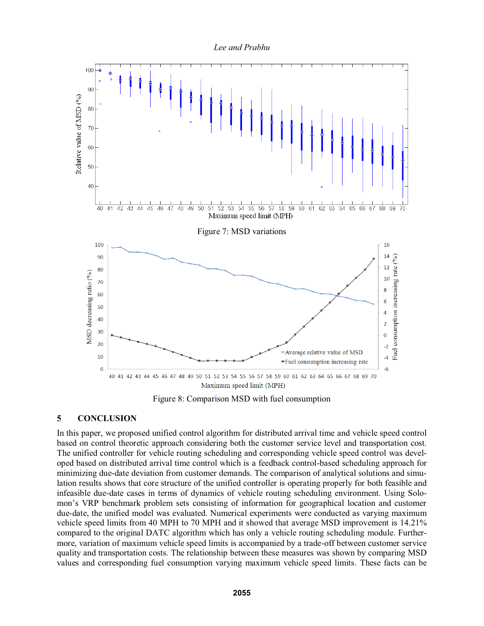



Figure 8: Comparison MSD with fuel consumption

# **5 CONCLUSION**

In this paper, we proposed unified control algorithm for distributed arrival time and vehicle speed control based on control theoretic approach considering both the customer service level and transportation cost. The unified controller for vehicle routing scheduling and corresponding vehicle speed control was developed based on distributed arrival time control which is a feedback control-based scheduling approach for minimizing due-date deviation from customer demands. The comparison of analytical solutions and simulation results shows that core structure of the unified controller is operating properly for both feasible and infeasible due-date cases in terms of dynamics of vehicle routing scheduling environment. Using Solomon's VRP benchmark problem sets consisting of information for geographical location and customer due-date, the unified model was evaluated. Numerical experiments were conducted as varying maximum vehicle speed limits from 40 MPH to 70 MPH and it showed that average MSD improvement is 14.21% compared to the original DATC algorithm which has only a vehicle routing scheduling module. Furthermore, variation of maximum vehicle speed limits is accompanied by a trade-off between customer service quality and transportation costs. The relationship between these measures was shown by comparing MSD values and corresponding fuel consumption varying maximum vehicle speed limits. These facts can be